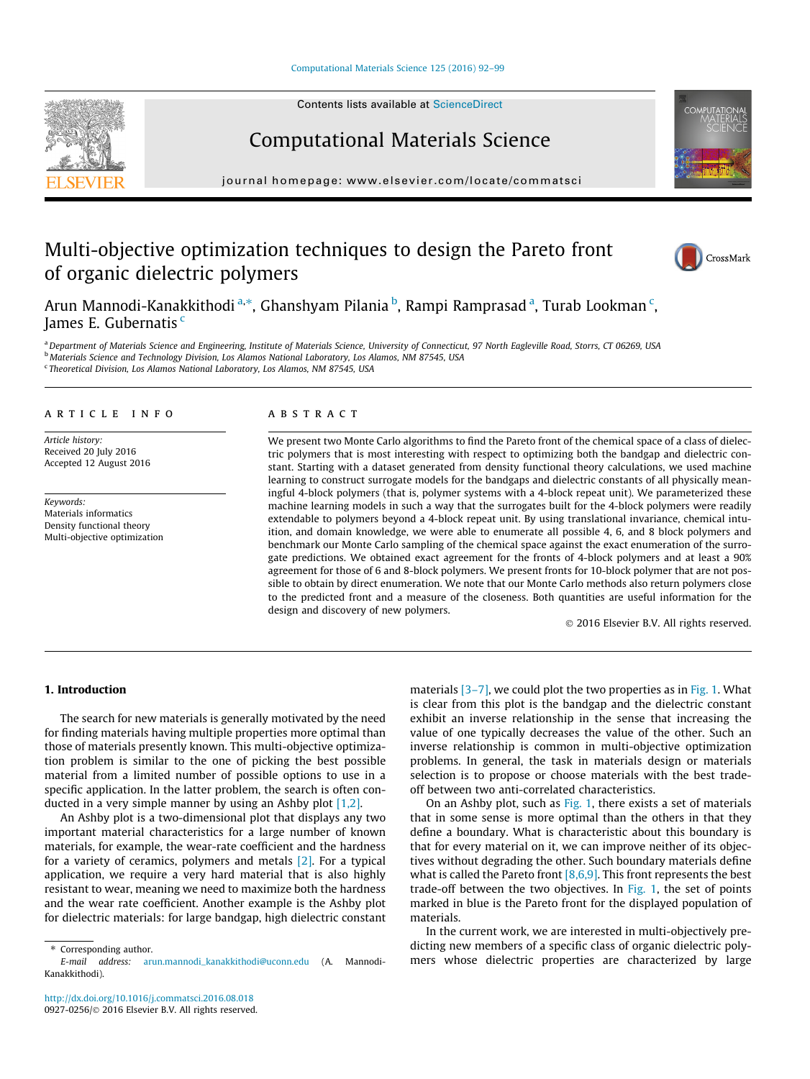### [Computational Materials Science 125 \(2016\) 92–99](http://dx.doi.org/10.1016/j.commatsci.2016.08.018)

# Computational Materials Science

journal homepage: [www.elsevier.com/locate/commatsci](http://www.elsevier.com/locate/commatsci)

# Multi-objective optimization techniques to design the Pareto front of organic dielectric polymers

Arun Mannodi-Kanakkithodi <sup>a,</sup>\*, Ghanshyam Pilania <sup>b</sup>, Rampi Ramprasad <sup>a</sup>, Turab Lookman <sup>c</sup>, James E. Gubernatis <sup>c</sup>

a Department of Materials Science and Engineering, Institute of Materials Science, University of Connecticut, 97 North Eagleville Road, Storrs, CT 06269, USA <sup>b</sup> Materials Science and Technology Division, Los Alamos National Laboratory, Los Alamos, NM 87545, USA

<sup>c</sup> Theoretical Division, Los Alamos National Laboratory, Los Alamos, NM 87545, USA

## article info

Article history: Received 20 July 2016 Accepted 12 August 2016

Keywords: Materials informatics Density functional theory Multi-objective optimization

# ABSTRACT

We present two Monte Carlo algorithms to find the Pareto front of the chemical space of a class of dielectric polymers that is most interesting with respect to optimizing both the bandgap and dielectric constant. Starting with a dataset generated from density functional theory calculations, we used machine learning to construct surrogate models for the bandgaps and dielectric constants of all physically meaningful 4-block polymers (that is, polymer systems with a 4-block repeat unit). We parameterized these machine learning models in such a way that the surrogates built for the 4-block polymers were readily extendable to polymers beyond a 4-block repeat unit. By using translational invariance, chemical intuition, and domain knowledge, we were able to enumerate all possible 4, 6, and 8 block polymers and benchmark our Monte Carlo sampling of the chemical space against the exact enumeration of the surrogate predictions. We obtained exact agreement for the fronts of 4-block polymers and at least a 90% agreement for those of 6 and 8-block polymers. We present fronts for 10-block polymer that are not possible to obtain by direct enumeration. We note that our Monte Carlo methods also return polymers close to the predicted front and a measure of the closeness. Both quantities are useful information for the design and discovery of new polymers.

2016 Elsevier B.V. All rights reserved.

## 1. Introduction

The search for new materials is generally motivated by the need for finding materials having multiple properties more optimal than those of materials presently known. This multi-objective optimization problem is similar to the one of picking the best possible material from a limited number of possible options to use in a specific application. In the latter problem, the search is often conducted in a very simple manner by using an Ashby plot [\[1,2\].](#page-6-0)

An Ashby plot is a two-dimensional plot that displays any two important material characteristics for a large number of known materials, for example, the wear-rate coefficient and the hardness for a variety of ceramics, polymers and metals [\[2\]](#page-6-0). For a typical application, we require a very hard material that is also highly resistant to wear, meaning we need to maximize both the hardness and the wear rate coefficient. Another example is the Ashby plot for dielectric materials: for large bandgap, high dielectric constant materials  $[3-7]$ , we could plot the two properties as in [Fig. 1.](#page-1-0) What is clear from this plot is the bandgap and the dielectric constant exhibit an inverse relationship in the sense that increasing the value of one typically decreases the value of the other. Such an inverse relationship is common in multi-objective optimization problems. In general, the task in materials design or materials selection is to propose or choose materials with the best tradeoff between two anti-correlated characteristics.

On an Ashby plot, such as [Fig. 1](#page-1-0), there exists a set of materials that in some sense is more optimal than the others in that they define a boundary. What is characteristic about this boundary is that for every material on it, we can improve neither of its objectives without degrading the other. Such boundary materials define what is called the Pareto front  $[8,6,9]$ . This front represents the best trade-off between the two objectives. In [Fig. 1](#page-1-0), the set of points marked in blue is the Pareto front for the displayed population of materials.

In the current work, we are interested in multi-objectively predicting new members of a specific class of organic dielectric polymers whose dielectric properties are characterized by large







<sup>⇑</sup> Corresponding author.

E-mail address: [arun.mannodi\\_kanakkithodi@uconn.edu](mailto:arun.mannodi_kanakkithodi@uconn.edu) (A. Mannodi-Kanakkithodi).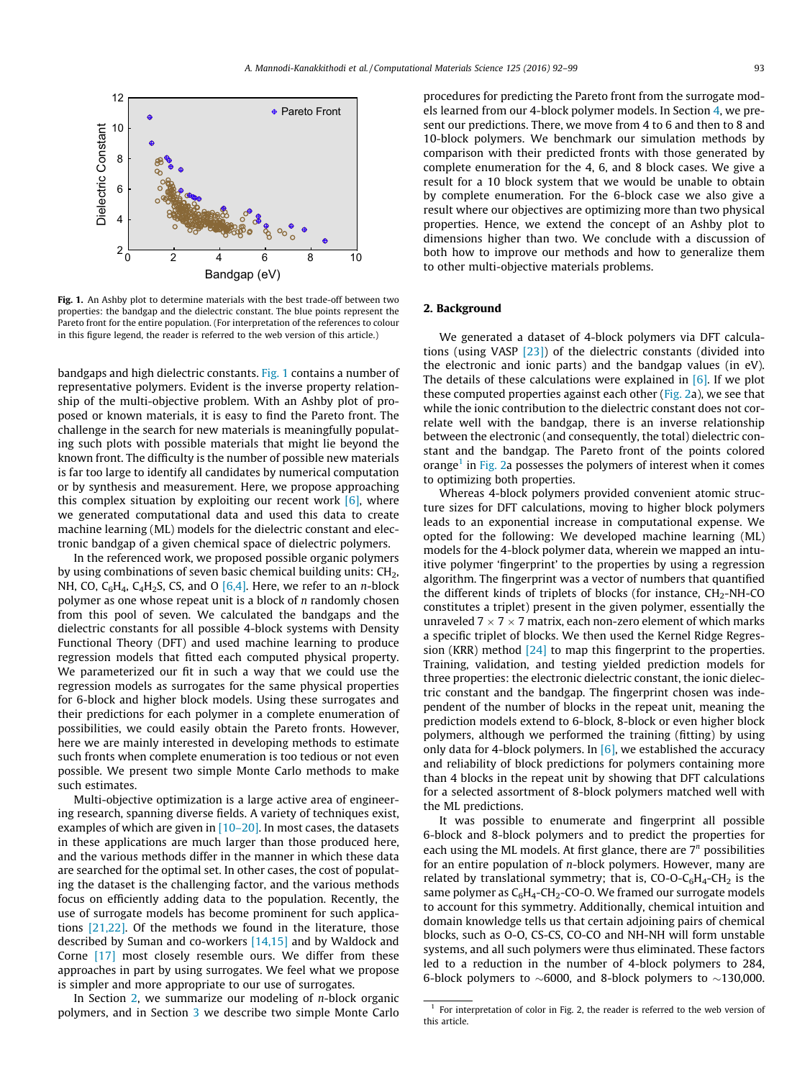<span id="page-1-0"></span>

Fig. 1. An Ashby plot to determine materials with the best trade-off between two properties: the bandgap and the dielectric constant. The blue points represent the Pareto front for the entire population. (For interpretation of the references to colour in this figure legend, the reader is referred to the web version of this article.)

bandgaps and high dielectric constants. Fig. 1 contains a number of representative polymers. Evident is the inverse property relationship of the multi-objective problem. With an Ashby plot of proposed or known materials, it is easy to find the Pareto front. The challenge in the search for new materials is meaningfully populating such plots with possible materials that might lie beyond the known front. The difficulty is the number of possible new materials is far too large to identify all candidates by numerical computation or by synthesis and measurement. Here, we propose approaching this complex situation by exploiting our recent work  $[6]$ , where we generated computational data and used this data to create machine learning (ML) models for the dielectric constant and electronic bandgap of a given chemical space of dielectric polymers.

In the referenced work, we proposed possible organic polymers by using combinations of seven basic chemical building units:  $CH<sub>2</sub>$ , NH, CO,  $C_6H_4$ ,  $C_4H_2S$ , CS, and O [\[6,4\].](#page-6-0) Here, we refer to an *n*-block polymer as one whose repeat unit is a block of n randomly chosen from this pool of seven. We calculated the bandgaps and the dielectric constants for all possible 4-block systems with Density Functional Theory (DFT) and used machine learning to produce regression models that fitted each computed physical property. We parameterized our fit in such a way that we could use the regression models as surrogates for the same physical properties for 6-block and higher block models. Using these surrogates and their predictions for each polymer in a complete enumeration of possibilities, we could easily obtain the Pareto fronts. However, here we are mainly interested in developing methods to estimate such fronts when complete enumeration is too tedious or not even possible. We present two simple Monte Carlo methods to make such estimates.

Multi-objective optimization is a large active area of engineering research, spanning diverse fields. A variety of techniques exist, examples of which are given in [\[10–20\]](#page-7-0). In most cases, the datasets in these applications are much larger than those produced here, and the various methods differ in the manner in which these data are searched for the optimal set. In other cases, the cost of populating the dataset is the challenging factor, and the various methods focus on efficiently adding data to the population. Recently, the use of surrogate models has become prominent for such applications [\[21,22\]](#page-7-0). Of the methods we found in the literature, those described by Suman and co-workers [\[14,15\]](#page-7-0) and by Waldock and Corne [\[17\]](#page-7-0) most closely resemble ours. We differ from these approaches in part by using surrogates. We feel what we propose is simpler and more appropriate to our use of surrogates.

In Section 2, we summarize our modeling of n-block organic polymers, and in Section [3](#page-2-0) we describe two simple Monte Carlo procedures for predicting the Pareto front from the surrogate models learned from our 4-block polymer models. In Section [4](#page-4-0), we present our predictions. There, we move from 4 to 6 and then to 8 and 10-block polymers. We benchmark our simulation methods by comparison with their predicted fronts with those generated by complete enumeration for the 4, 6, and 8 block cases. We give a result for a 10 block system that we would be unable to obtain by complete enumeration. For the 6-block case we also give a result where our objectives are optimizing more than two physical properties. Hence, we extend the concept of an Ashby plot to dimensions higher than two. We conclude with a discussion of both how to improve our methods and how to generalize them to other multi-objective materials problems.

### 2. Background

We generated a dataset of 4-block polymers via DFT calculations (using VASP [\[23\]](#page-7-0)) of the dielectric constants (divided into the electronic and ionic parts) and the bandgap values (in eV). The details of these calculations were explained in [\[6\]](#page-6-0). If we plot these computed properties against each other ([Fig. 2](#page-2-0)a), we see that while the ionic contribution to the dielectric constant does not correlate well with the bandgap, there is an inverse relationship between the electronic (and consequently, the total) dielectric constant and the bandgap. The Pareto front of the points colored orange<sup>1</sup> in [Fig. 2a](#page-2-0) possesses the polymers of interest when it comes to optimizing both properties.

Whereas 4-block polymers provided convenient atomic structure sizes for DFT calculations, moving to higher block polymers leads to an exponential increase in computational expense. We opted for the following: We developed machine learning (ML) models for the 4-block polymer data, wherein we mapped an intuitive polymer 'fingerprint' to the properties by using a regression algorithm. The fingerprint was a vector of numbers that quantified the different kinds of triplets of blocks (for instance,  $CH<sub>2</sub>-NH-CO$ constitutes a triplet) present in the given polymer, essentially the unraveled 7  $\times$  7  $\times$  7 matrix, each non-zero element of which marks a specific triplet of blocks. We then used the Kernel Ridge Regression (KRR) method [\[24\]](#page-7-0) to map this fingerprint to the properties. Training, validation, and testing yielded prediction models for three properties: the electronic dielectric constant, the ionic dielectric constant and the bandgap. The fingerprint chosen was independent of the number of blocks in the repeat unit, meaning the prediction models extend to 6-block, 8-block or even higher block polymers, although we performed the training (fitting) by using only data for 4-block polymers. In  $[6]$ , we established the accuracy and reliability of block predictions for polymers containing more than 4 blocks in the repeat unit by showing that DFT calculations for a selected assortment of 8-block polymers matched well with the ML predictions.

It was possible to enumerate and fingerprint all possible 6-block and 8-block polymers and to predict the properties for each using the ML models. At first glance, there are  $7<sup>n</sup>$  possibilities for an entire population of n-block polymers. However, many are related by translational symmetry; that is,  $CO-O-C<sub>6</sub>H<sub>4</sub>-CH<sub>2</sub>$  is the same polymer as  $C_6H_4$ -CH<sub>2</sub>-CO-O. We framed our surrogate models to account for this symmetry. Additionally, chemical intuition and domain knowledge tells us that certain adjoining pairs of chemical blocks, such as O-O, CS-CS, CO-CO and NH-NH will form unstable systems, and all such polymers were thus eliminated. These factors led to a reduction in the number of 4-block polymers to 284, 6-block polymers to  $\sim$  6000, and 8-block polymers to  $\sim$  130,000.

 $1$  For interpretation of color in Fig. 2, the reader is referred to the web version of this article.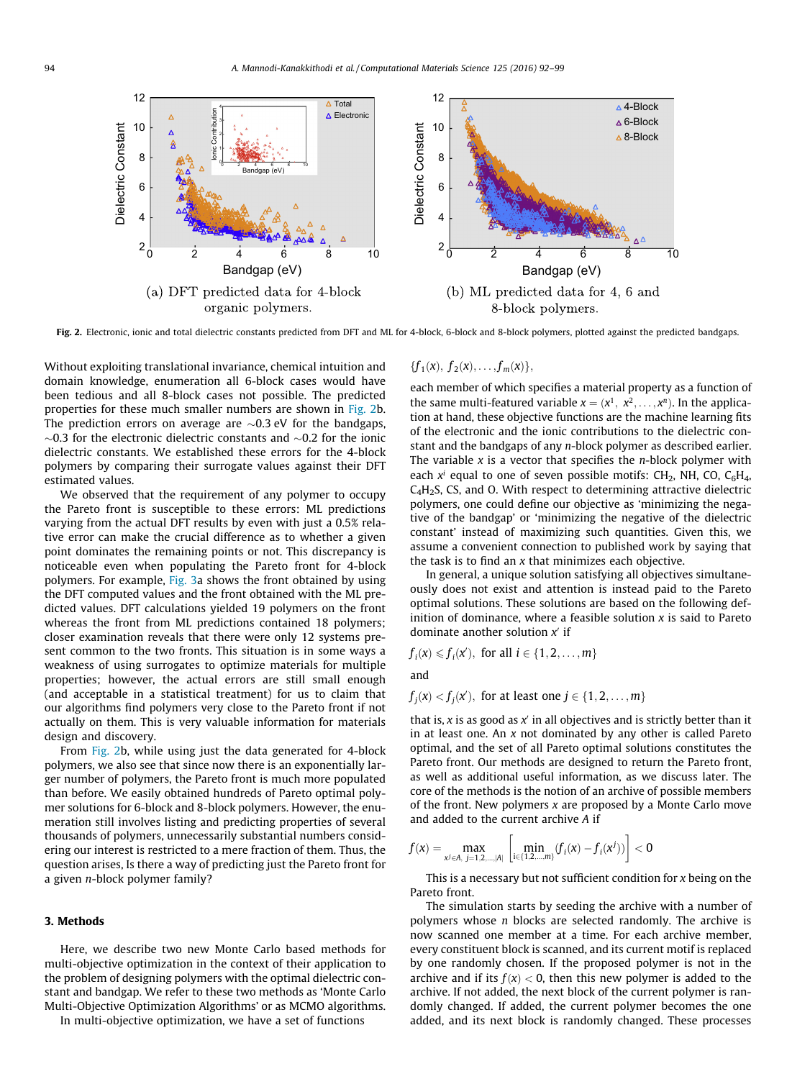<span id="page-2-0"></span>

Fig. 2. Electronic, ionic and total dielectric constants predicted from DFT and ML for 4-block, 6-block and 8-block polymers, plotted against the predicted bandgaps.

Without exploiting translational invariance, chemical intuition and domain knowledge, enumeration all 6-block cases would have been tedious and all 8-block cases not possible. The predicted properties for these much smaller numbers are shown in Fig. 2b. The prediction errors on average are  $\sim 0.3$  eV for the bandgaps,  $\sim$ 0.3 for the electronic dielectric constants and  $\sim$ 0.2 for the ionic dielectric constants. We established these errors for the 4-block polymers by comparing their surrogate values against their DFT estimated values.

We observed that the requirement of any polymer to occupy the Pareto front is susceptible to these errors: ML predictions varying from the actual DFT results by even with just a 0.5% relative error can make the crucial difference as to whether a given point dominates the remaining points or not. This discrepancy is noticeable even when populating the Pareto front for 4-block polymers. For example, [Fig. 3](#page-3-0)a shows the front obtained by using the DFT computed values and the front obtained with the ML predicted values. DFT calculations yielded 19 polymers on the front whereas the front from ML predictions contained 18 polymers; closer examination reveals that there were only 12 systems present common to the two fronts. This situation is in some ways a weakness of using surrogates to optimize materials for multiple properties; however, the actual errors are still small enough (and acceptable in a statistical treatment) for us to claim that our algorithms find polymers very close to the Pareto front if not actually on them. This is very valuable information for materials design and discovery.

From Fig. 2b, while using just the data generated for 4-block polymers, we also see that since now there is an exponentially larger number of polymers, the Pareto front is much more populated than before. We easily obtained hundreds of Pareto optimal polymer solutions for 6-block and 8-block polymers. However, the enumeration still involves listing and predicting properties of several thousands of polymers, unnecessarily substantial numbers considering our interest is restricted to a mere fraction of them. Thus, the question arises, Is there a way of predicting just the Pareto front for a given n-block polymer family?

## 3. Methods

Here, we describe two new Monte Carlo based methods for multi-objective optimization in the context of their application to the problem of designing polymers with the optimal dielectric constant and bandgap. We refer to these two methods as 'Monte Carlo Multi-Objective Optimization Algorithms' or as MCMO algorithms.

In multi-objective optimization, we have a set of functions

 ${f_1(x), f_2(x), \ldots, f_m(x)}$ 

each member of which specifies a material property as a function of the same multi-featured variable  $x = (x^1, x^2, \ldots, x^n)$ . In the application at hand, these objective functions are the machine learning fits of the electronic and the ionic contributions to the dielectric constant and the bandgaps of any n-block polymer as described earlier. The variable  $x$  is a vector that specifies the  $n$ -block polymer with each  $x^{i}$  equal to one of seven possible motifs: CH<sub>2</sub>, NH, CO, C<sub>6</sub>H<sub>4</sub>, C4H2S, CS, and O. With respect to determining attractive dielectric polymers, one could define our objective as 'minimizing the negative of the bandgap' or 'minimizing the negative of the dielectric constant' instead of maximizing such quantities. Given this, we assume a convenient connection to published work by saying that the task is to find an x that minimizes each objective.

In general, a unique solution satisfying all objectives simultaneously does not exist and attention is instead paid to the Pareto optimal solutions. These solutions are based on the following definition of dominance, where a feasible solution  $x$  is said to Pareto dominate another solution  $x'$  if

$$
f_i(x) \leq f_i(x'), \text{ for all } i \in \{1, 2, \ldots, m\}
$$

and

$$
f_j(x) < f_j(x'), \text{ for at least one } j \in \{1, 2, \ldots, m\}
$$

that is,  $x$  is as good as  $x<sup>i</sup>$  in all objectives and is strictly better than it in at least one. An x not dominated by any other is called Pareto optimal, and the set of all Pareto optimal solutions constitutes the Pareto front. Our methods are designed to return the Pareto front, as well as additional useful information, as we discuss later. The core of the methods is the notion of an archive of possible members of the front. New polymers  $x$  are proposed by a Monte Carlo move and added to the current archive A if

$$
f(x) = \max_{x^{j} \in A, \ j=1,2,...,|A|} \left[ \min_{i \in \{1,2,...,m\}} (f_i(x) - f_i(x^{j})) \right] < 0
$$

This is a necessary but not sufficient condition for x being on the Pareto front.

The simulation starts by seeding the archive with a number of polymers whose  $n$  blocks are selected randomly. The archive is now scanned one member at a time. For each archive member, every constituent block is scanned, and its current motif is replaced by one randomly chosen. If the proposed polymer is not in the archive and if its  $f(x) < 0$ , then this new polymer is added to the archive. If not added, the next block of the current polymer is randomly changed. If added, the current polymer becomes the one added, and its next block is randomly changed. These processes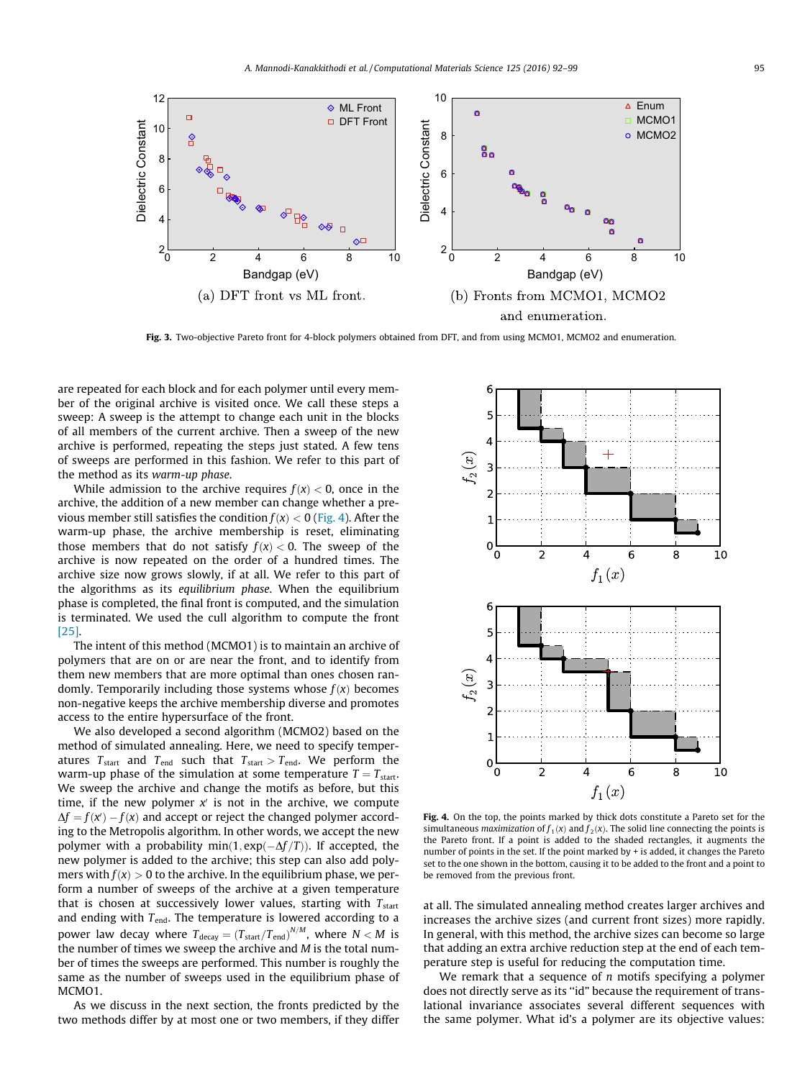<span id="page-3-0"></span>

Fig. 3. Two-objective Pareto front for 4-block polymers obtained from DFT, and from using MCMO1, MCMO2 and enumeration.

are repeated for each block and for each polymer until every member of the original archive is visited once. We call these steps a sweep: A sweep is the attempt to change each unit in the blocks of all members of the current archive. Then a sweep of the new archive is performed, repeating the steps just stated. A few tens of sweeps are performed in this fashion. We refer to this part of the method as its warm-up phase.

While admission to the archive requires  $f(x) < 0$ , once in the archive, the addition of a new member can change whether a previous member still satisfies the condition  $f(x) < 0$  (Fig. 4). After the warm-up phase, the archive membership is reset, eliminating those members that do not satisfy  $f(x) < 0$ . The sweep of the archive is now repeated on the order of a hundred times. The archive size now grows slowly, if at all. We refer to this part of the algorithms as its equilibrium phase. When the equilibrium phase is completed, the final front is computed, and the simulation is terminated. We used the cull algorithm to compute the front [\[25\].](#page-7-0)

The intent of this method (MCMO1) is to maintain an archive of polymers that are on or are near the front, and to identify from them new members that are more optimal than ones chosen randomly. Temporarily including those systems whose  $f(x)$  becomes non-negative keeps the archive membership diverse and promotes access to the entire hypersurface of the front.

We also developed a second algorithm (MCMO2) based on the method of simulated annealing. Here, we need to specify temperatures  $T_{\text{start}}$  and  $T_{\text{end}}$  such that  $T_{\text{start}} > T_{\text{end}}$ . We perform the warm-up phase of the simulation at some temperature  $T = T_{\text{start}}$ . We sweep the archive and change the motifs as before, but this time, if the new polymer  $x'$  is not in the archive, we compute  $\Delta f = f(x') - f(x)$  and accept or reject the changed polymer accord-<br>ing to the Metropolis algorithm. In other words, we accept the new ing to the Metropolis algorithm. In other words, we accept the new polymer with a probability min $(1, \exp(-\Delta f/T))$ . If accepted, the new polymer is added to the archive; this step can also add polymers with  $f(x) > 0$  to the archive. In the equilibrium phase, we perform a number of sweeps of the archive at a given temperature that is chosen at successively lower values, starting with  $T_{\text{start}}$ and ending with  $T_{end}$ . The temperature is lowered according to a power law decay where  $T_{\text{decay}} = (T_{\text{start}}/T_{\text{end}})^{N/M}$ , where  $N < M$  is<br>the number of times we sweep the archive and M is the total num the number of times we sweep the archive and  $M$  is the total number of times the sweeps are performed. This number is roughly the same as the number of sweeps used in the equilibrium phase of MCMO1.

As we discuss in the next section, the fronts predicted by the two methods differ by at most one or two members, if they differ



Fig. 4. On the top, the points marked by thick dots constitute a Pareto set for the simultaneous *maximization* of  $f_1(x)$  and  $f_2(x)$ . The solid line connecting the points is the Pareto front. If a point is added to the shaded rectangles, it augments the number of points in the set. If the point marked by + is added, it changes the Pareto set to the one shown in the bottom, causing it to be added to the front and a point to be removed from the previous front.

at all. The simulated annealing method creates larger archives and increases the archive sizes (and current front sizes) more rapidly. In general, with this method, the archive sizes can become so large that adding an extra archive reduction step at the end of each temperature step is useful for reducing the computation time.

We remark that a sequence of  $n$  motifs specifying a polymer does not directly serve as its ''id" because the requirement of translational invariance associates several different sequences with the same polymer. What id's a polymer are its objective values: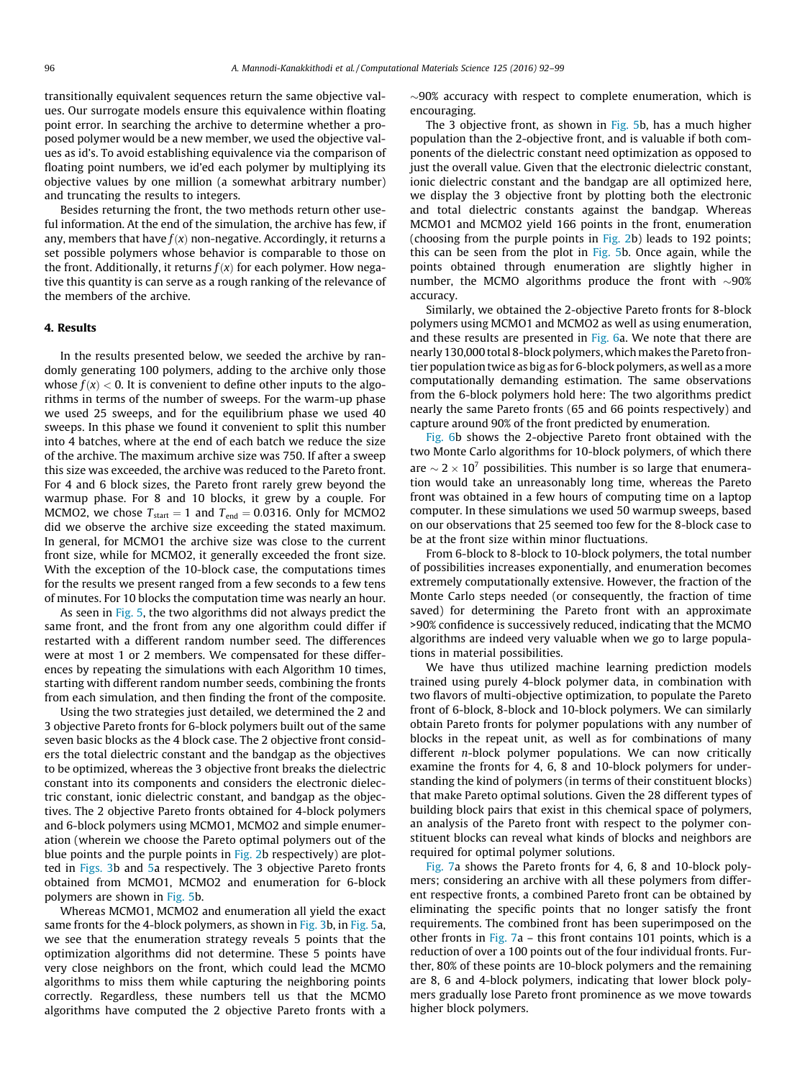<span id="page-4-0"></span>transitionally equivalent sequences return the same objective values. Our surrogate models ensure this equivalence within floating point error. In searching the archive to determine whether a proposed polymer would be a new member, we used the objective values as id's. To avoid establishing equivalence via the comparison of floating point numbers, we id'ed each polymer by multiplying its objective values by one million (a somewhat arbitrary number) and truncating the results to integers.

Besides returning the front, the two methods return other useful information. At the end of the simulation, the archive has few, if any, members that have  $f(x)$  non-negative. Accordingly, it returns a set possible polymers whose behavior is comparable to those on the front. Additionally, it returns  $f(x)$  for each polymer. How negative this quantity is can serve as a rough ranking of the relevance of the members of the archive.

## 4. Results

In the results presented below, we seeded the archive by randomly generating 100 polymers, adding to the archive only those whose  $f(x) < 0$ . It is convenient to define other inputs to the algorithms in terms of the number of sweeps. For the warm-up phase we used 25 sweeps, and for the equilibrium phase we used 40 sweeps. In this phase we found it convenient to split this number into 4 batches, where at the end of each batch we reduce the size of the archive. The maximum archive size was 750. If after a sweep this size was exceeded, the archive was reduced to the Pareto front. For 4 and 6 block sizes, the Pareto front rarely grew beyond the warmup phase. For 8 and 10 blocks, it grew by a couple. For MCMO2, we chose  $T_{start} = 1$  and  $T_{end} = 0.0316$ . Only for MCMO2 did we observe the archive size exceeding the stated maximum. In general, for MCMO1 the archive size was close to the current front size, while for MCMO2, it generally exceeded the front size. With the exception of the 10-block case, the computations times for the results we present ranged from a few seconds to a few tens of minutes. For 10 blocks the computation time was nearly an hour.

As seen in [Fig. 5](#page-5-0), the two algorithms did not always predict the same front, and the front from any one algorithm could differ if restarted with a different random number seed. The differences were at most 1 or 2 members. We compensated for these differences by repeating the simulations with each Algorithm 10 times, starting with different random number seeds, combining the fronts from each simulation, and then finding the front of the composite.

Using the two strategies just detailed, we determined the 2 and 3 objective Pareto fronts for 6-block polymers built out of the same seven basic blocks as the 4 block case. The 2 objective front considers the total dielectric constant and the bandgap as the objectives to be optimized, whereas the 3 objective front breaks the dielectric constant into its components and considers the electronic dielectric constant, ionic dielectric constant, and bandgap as the objectives. The 2 objective Pareto fronts obtained for 4-block polymers and 6-block polymers using MCMO1, MCMO2 and simple enumeration (wherein we choose the Pareto optimal polymers out of the blue points and the purple points in [Fig. 2b](#page-2-0) respectively) are plotted in [Figs. 3](#page-3-0)b and [5](#page-5-0)a respectively. The 3 objective Pareto fronts obtained from MCMO1, MCMO2 and enumeration for 6-block polymers are shown in [Fig. 5](#page-5-0)b.

Whereas MCMO1, MCMO2 and enumeration all yield the exact same fronts for the 4-block polymers, as shown in [Fig. 3](#page-3-0)b, in [Fig. 5a](#page-5-0), we see that the enumeration strategy reveals 5 points that the optimization algorithms did not determine. These 5 points have very close neighbors on the front, which could lead the MCMO algorithms to miss them while capturing the neighboring points correctly. Regardless, these numbers tell us that the MCMO algorithms have computed the 2 objective Pareto fronts with a

 $\sim$ 90% accuracy with respect to complete enumeration, which is encouraging.

The 3 objective front, as shown in [Fig. 5](#page-5-0)b, has a much higher population than the 2-objective front, and is valuable if both components of the dielectric constant need optimization as opposed to just the overall value. Given that the electronic dielectric constant, ionic dielectric constant and the bandgap are all optimized here, we display the 3 objective front by plotting both the electronic and total dielectric constants against the bandgap. Whereas MCMO1 and MCMO2 yield 166 points in the front, enumeration (choosing from the purple points in [Fig. 2](#page-2-0)b) leads to 192 points; this can be seen from the plot in [Fig. 5](#page-5-0)b. Once again, while the points obtained through enumeration are slightly higher in number, the MCMO algorithms produce the front with  $\sim$ 90% accuracy.

Similarly, we obtained the 2-objective Pareto fronts for 8-block polymers using MCMO1 and MCMO2 as well as using enumeration, and these results are presented in [Fig. 6a](#page-5-0). We note that there are nearly 130,000 total 8-block polymers, which makes the Pareto frontier population twice as big as for 6-block polymers, as well as a more computationally demanding estimation. The same observations from the 6-block polymers hold here: The two algorithms predict nearly the same Pareto fronts (65 and 66 points respectively) and capture around 90% of the front predicted by enumeration.

[Fig. 6b](#page-5-0) shows the 2-objective Pareto front obtained with the two Monte Carlo algorithms for 10-block polymers, of which there are  $\sim$  2  $\times$  10<sup>7</sup> possibilities. This number is so large that enumeration would take an unreasonably long time, whereas the Pareto front was obtained in a few hours of computing time on a laptop computer. In these simulations we used 50 warmup sweeps, based on our observations that 25 seemed too few for the 8-block case to be at the front size within minor fluctuations.

From 6-block to 8-block to 10-block polymers, the total number of possibilities increases exponentially, and enumeration becomes extremely computationally extensive. However, the fraction of the Monte Carlo steps needed (or consequently, the fraction of time saved) for determining the Pareto front with an approximate >90% confidence is successively reduced, indicating that the MCMO algorithms are indeed very valuable when we go to large populations in material possibilities.

We have thus utilized machine learning prediction models trained using purely 4-block polymer data, in combination with two flavors of multi-objective optimization, to populate the Pareto front of 6-block, 8-block and 10-block polymers. We can similarly obtain Pareto fronts for polymer populations with any number of blocks in the repeat unit, as well as for combinations of many different n-block polymer populations. We can now critically examine the fronts for 4, 6, 8 and 10-block polymers for understanding the kind of polymers (in terms of their constituent blocks) that make Pareto optimal solutions. Given the 28 different types of building block pairs that exist in this chemical space of polymers, an analysis of the Pareto front with respect to the polymer constituent blocks can reveal what kinds of blocks and neighbors are required for optimal polymer solutions.

[Fig. 7](#page-5-0)a shows the Pareto fronts for 4, 6, 8 and 10-block polymers; considering an archive with all these polymers from different respective fronts, a combined Pareto front can be obtained by eliminating the specific points that no longer satisfy the front requirements. The combined front has been superimposed on the other fronts in [Fig. 7a](#page-5-0) – this front contains 101 points, which is a reduction of over a 100 points out of the four individual fronts. Further, 80% of these points are 10-block polymers and the remaining are 8, 6 and 4-block polymers, indicating that lower block polymers gradually lose Pareto front prominence as we move towards higher block polymers.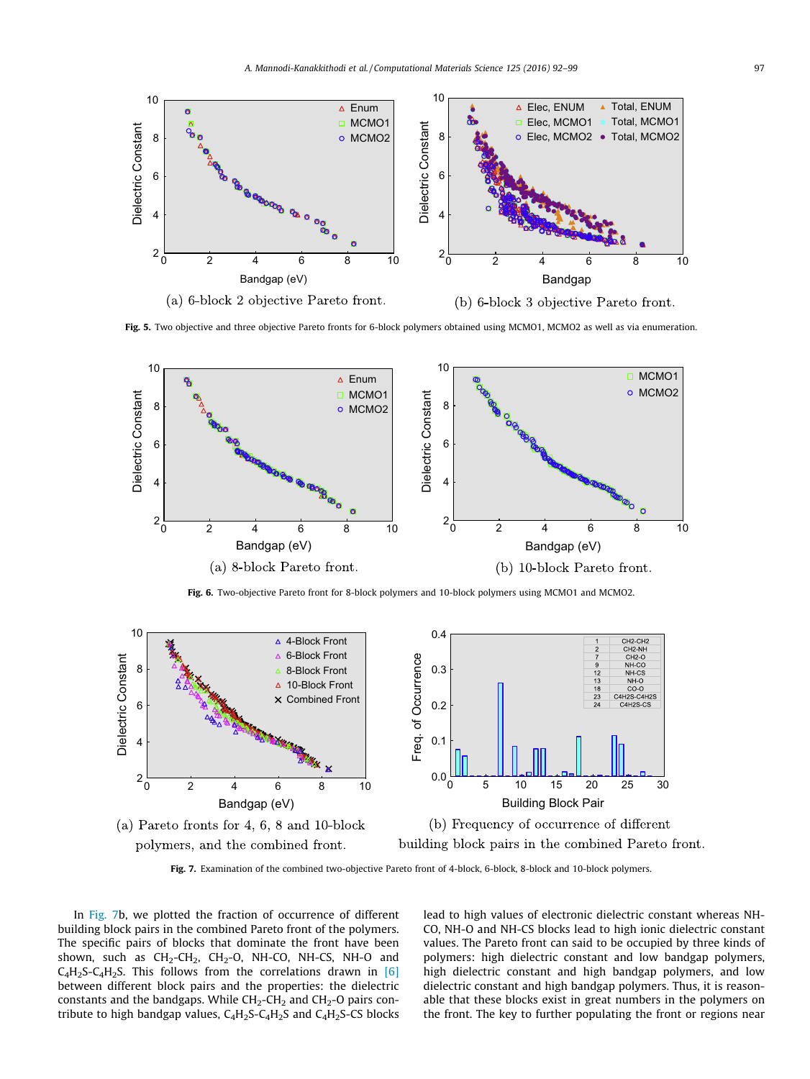<span id="page-5-0"></span>

Fig. 5. Two objective and three objective Pareto fronts for 6-block polymers obtained using MCMO1, MCMO2 as well as via enumeration.



Fig. 6. Two-objective Pareto front for 8-block polymers and 10-block polymers using MCMO1 and MCMO2.



Fig. 7. Examination of the combined two-objective Pareto front of 4-block, 6-block, 8-block and 10-block polymers.

In Fig. 7b, we plotted the fraction of occurrence of different building block pairs in the combined Pareto front of the polymers. The specific pairs of blocks that dominate the front have been shown, such as  $CH_2-CH_2$ ,  $CH_2-O$ , NH-CO, NH-CS, NH-O and  $C_4H_2S-C_4H_2S$ . This follows from the correlations drawn in [\[6\]](#page-6-0) between different block pairs and the properties: the dielectric constants and the bandgaps. While  $CH_2$ -CH<sub>2</sub> and CH<sub>2</sub>-O pairs contribute to high bandgap values,  $C_4H_2S-C_4H_2S$  and  $C_4H_2S-CS$  blocks lead to high values of electronic dielectric constant whereas NH-CO, NH-O and NH-CS blocks lead to high ionic dielectric constant values. The Pareto front can said to be occupied by three kinds of polymers: high dielectric constant and low bandgap polymers, high dielectric constant and high bandgap polymers, and low dielectric constant and high bandgap polymers. Thus, it is reasonable that these blocks exist in great numbers in the polymers on the front. The key to further populating the front or regions near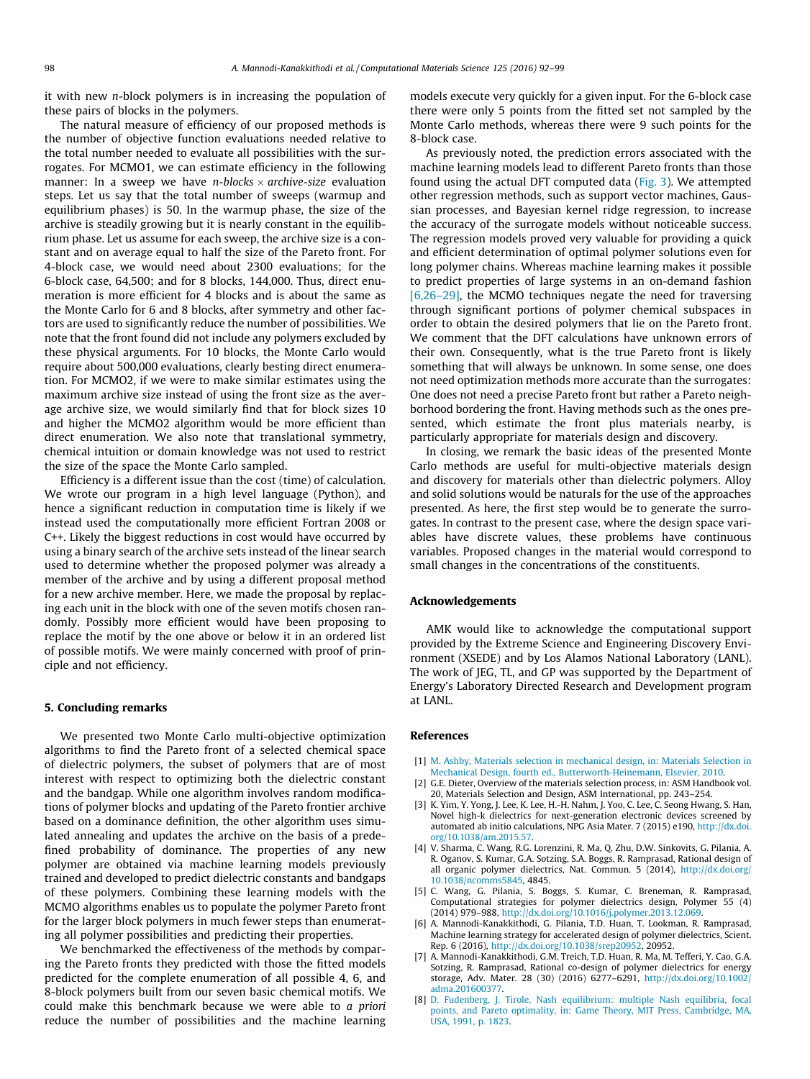<span id="page-6-0"></span>it with new n-block polymers is in increasing the population of these pairs of blocks in the polymers.

The natural measure of efficiency of our proposed methods is the number of objective function evaluations needed relative to the total number needed to evaluate all possibilities with the surrogates. For MCMO1, we can estimate efficiency in the following manner: In a sweep we have  $n$ -blocks  $\times$  archive-size evaluation steps. Let us say that the total number of sweeps (warmup and equilibrium phases) is 50. In the warmup phase, the size of the archive is steadily growing but it is nearly constant in the equilibrium phase. Let us assume for each sweep, the archive size is a constant and on average equal to half the size of the Pareto front. For 4-block case, we would need about 2300 evaluations; for the 6-block case, 64,500; and for 8 blocks, 144,000. Thus, direct enumeration is more efficient for 4 blocks and is about the same as the Monte Carlo for 6 and 8 blocks, after symmetry and other factors are used to significantly reduce the number of possibilities. We note that the front found did not include any polymers excluded by these physical arguments. For 10 blocks, the Monte Carlo would require about 500,000 evaluations, clearly besting direct enumeration. For MCMO2, if we were to make similar estimates using the maximum archive size instead of using the front size as the average archive size, we would similarly find that for block sizes 10 and higher the MCMO2 algorithm would be more efficient than direct enumeration. We also note that translational symmetry, chemical intuition or domain knowledge was not used to restrict the size of the space the Monte Carlo sampled.

Efficiency is a different issue than the cost (time) of calculation. We wrote our program in a high level language (Python), and hence a significant reduction in computation time is likely if we instead used the computationally more efficient Fortran 2008 or C++. Likely the biggest reductions in cost would have occurred by using a binary search of the archive sets instead of the linear search used to determine whether the proposed polymer was already a member of the archive and by using a different proposal method for a new archive member. Here, we made the proposal by replacing each unit in the block with one of the seven motifs chosen randomly. Possibly more efficient would have been proposing to replace the motif by the one above or below it in an ordered list of possible motifs. We were mainly concerned with proof of principle and not efficiency.

## 5. Concluding remarks

We presented two Monte Carlo multi-objective optimization algorithms to find the Pareto front of a selected chemical space of dielectric polymers, the subset of polymers that are of most interest with respect to optimizing both the dielectric constant and the bandgap. While one algorithm involves random modifications of polymer blocks and updating of the Pareto frontier archive based on a dominance definition, the other algorithm uses simulated annealing and updates the archive on the basis of a predefined probability of dominance. The properties of any new polymer are obtained via machine learning models previously trained and developed to predict dielectric constants and bandgaps of these polymers. Combining these learning models with the MCMO algorithms enables us to populate the polymer Pareto front for the larger block polymers in much fewer steps than enumerating all polymer possibilities and predicting their properties.

We benchmarked the effectiveness of the methods by comparing the Pareto fronts they predicted with those the fitted models predicted for the complete enumeration of all possible 4, 6, and 8-block polymers built from our seven basic chemical motifs. We could make this benchmark because we were able to a priori reduce the number of possibilities and the machine learning models execute very quickly for a given input. For the 6-block case there were only 5 points from the fitted set not sampled by the Monte Carlo methods, whereas there were 9 such points for the 8-block case.

As previously noted, the prediction errors associated with the machine learning models lead to different Pareto fronts than those found using the actual DFT computed data [\(Fig. 3\)](#page-3-0). We attempted other regression methods, such as support vector machines, Gaussian processes, and Bayesian kernel ridge regression, to increase the accuracy of the surrogate models without noticeable success. The regression models proved very valuable for providing a quick and efficient determination of optimal polymer solutions even for long polymer chains. Whereas machine learning makes it possible to predict properties of large systems in an on-demand fashion [6,26–29], the MCMO techniques negate the need for traversing through significant portions of polymer chemical subspaces in order to obtain the desired polymers that lie on the Pareto front. We comment that the DFT calculations have unknown errors of their own. Consequently, what is the true Pareto front is likely something that will always be unknown. In some sense, one does not need optimization methods more accurate than the surrogates: One does not need a precise Pareto front but rather a Pareto neighborhood bordering the front. Having methods such as the ones presented, which estimate the front plus materials nearby, is particularly appropriate for materials design and discovery.

In closing, we remark the basic ideas of the presented Monte Carlo methods are useful for multi-objective materials design and discovery for materials other than dielectric polymers. Alloy and solid solutions would be naturals for the use of the approaches presented. As here, the first step would be to generate the surrogates. In contrast to the present case, where the design space variables have discrete values, these problems have continuous variables. Proposed changes in the material would correspond to small changes in the concentrations of the constituents.

### Acknowledgements

AMK would like to acknowledge the computational support provided by the Extreme Science and Engineering Discovery Environment (XSEDE) and by Los Alamos National Laboratory (LANL). The work of JEG, TL, and GP was supported by the Department of Energy's Laboratory Directed Research and Development program at LANL.

#### **References**

- [1] [M. Ashby, Materials selection in mechanical design, in: Materials Selection in](http://refhub.elsevier.com/S0927-0256(16)30388-3/h0005) [Mechanical Design, fourth ed., Butterworth-Heinemann, Elsevier, 2010.](http://refhub.elsevier.com/S0927-0256(16)30388-3/h0005)
- [2] G.E. Dieter, Overview of the materials selection process, in: ASM Handbook vol. 20, Materials Selection and Design, ASM International, pp. 243–254.
- [3] K. Yim, Y. Yong, J. Lee, K. Lee, H.-H. Nahm, J. Yoo, C. Lee, C. Seong Hwang, S. Han, Novel high-k dielectrics for next-generation electronic devices screened by automated ab initio calculations, NPG Asia Mater. 7 (2015) e190, [http://dx.doi.](http://dx.doi.org/10.1038/am.2015.57) [org/10.1038/am.2015.57.](http://dx.doi.org/10.1038/am.2015.57)
- [4] V. Sharma, C. Wang, R.G. Lorenzini, R. Ma, Q. Zhu, D.W. Sinkovits, G. Pilania, A. R. Oganov, S. Kumar, G.A. Sotzing, S.A. Boggs, R. Ramprasad, Rational design of all organic polymer dielectrics, Nat. Commun. 5 (2014), [http://dx.doi.org/](http://dx.doi.org/10.1038/ncomms5845) [10.1038/ncomms5845](http://dx.doi.org/10.1038/ncomms5845), 4845.
- [5] C. Wang, G. Pilania, S. Boggs, S. Kumar, C. Breneman, R. Ramprasad, Computational strategies for polymer dielectrics design, Polymer 55 (4) (2014) 979–988, [http://dx.doi.org/10.1016/j.polymer.2013.12.069.](http://dx.doi.org/10.1016/j.polymer.2013.12.069)
- [6] A. Mannodi-Kanakkithodi, G. Pilania, T.D. Huan, T. Lookman, R. Ramprasad, Machine learning strategy for accelerated design of polymer dielectrics, Scient. Rep. 6 (2016), [http://dx.doi.org/10.1038/srep20952,](http://dx.doi.org/10.1038/srep20952) 20952.
- [7] A. Mannodi-Kanakkithodi, G.M. Treich, T.D. Huan, R. Ma, M. Tefferi, Y. Cao, G.A. Sotzing, R. Ramprasad, Rational co-design of polymer dielectrics for energy storage, Adv. Mater. 28 (30) (2016) 6277–6291, [http://dx.doi.org/10.1002/](http://dx.doi.org/10.1002/adma.201600377) [adma.201600377](http://dx.doi.org/10.1002/adma.201600377).
- [8] [D. Fudenberg, J. Tirole, Nash equilibrium: multiple Nash equilibria, focal](http://refhub.elsevier.com/S0927-0256(16)30388-3/h0040) [points, and Pareto optimality, in: Game Theory, MIT Press, Cambridge, MA,](http://refhub.elsevier.com/S0927-0256(16)30388-3/h0040) [USA, 1991, p. 1823](http://refhub.elsevier.com/S0927-0256(16)30388-3/h0040).